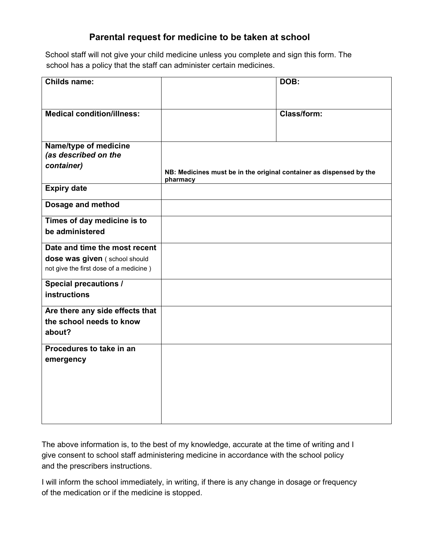## **Parental request for medicine to be taken at school**

 School staff will not give your child medicine unless you complete and sign this form. The school has a policy that the staff can administer certain medicines.

| <b>Childs name:</b>                                         |                                                                                 | DOB:        |
|-------------------------------------------------------------|---------------------------------------------------------------------------------|-------------|
| <b>Medical condition/illness:</b>                           |                                                                                 | Class/form: |
| Name/type of medicine<br>(as described on the<br>container) | NB: Medicines must be in the original container as dispensed by the<br>pharmacy |             |
| <b>Expiry date</b>                                          |                                                                                 |             |
| <b>Dosage and method</b>                                    |                                                                                 |             |
| Times of day medicine is to                                 |                                                                                 |             |
| be administered                                             |                                                                                 |             |
| Date and time the most recent                               |                                                                                 |             |
| dose was given (school should                               |                                                                                 |             |
| not give the first dose of a medicine)                      |                                                                                 |             |
| <b>Special precautions /</b>                                |                                                                                 |             |
| <b>instructions</b>                                         |                                                                                 |             |
| Are there any side effects that                             |                                                                                 |             |
| the school needs to know                                    |                                                                                 |             |
| about?                                                      |                                                                                 |             |
| Procedures to take in an                                    |                                                                                 |             |
| emergency                                                   |                                                                                 |             |
|                                                             |                                                                                 |             |
|                                                             |                                                                                 |             |
|                                                             |                                                                                 |             |
|                                                             |                                                                                 |             |
|                                                             |                                                                                 |             |

The above information is, to the best of my knowledge, accurate at the time of writing and I give consent to school staff administering medicine in accordance with the school policy and the prescribers instructions.

I will inform the school immediately, in writing, if there is any change in dosage or frequency of the medication or if the medicine is stopped.